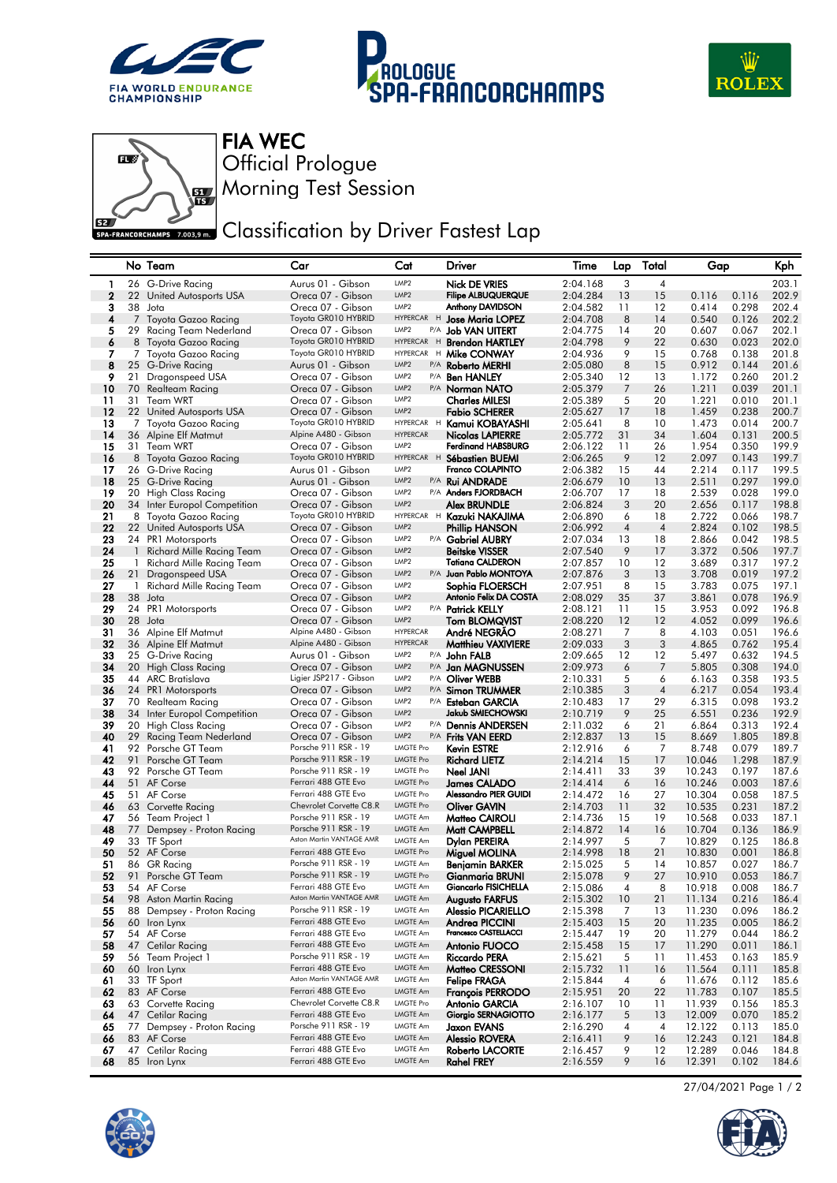







Morning Test Session Official Prologue FIA WEC

## **EZA FRANCORCHAMPS 2003.9 mm** Classification by Driver Fastest Lap

|              |                    | No Team                                    | Car                                             | Cat                                  |   | Driver                                             | Time                 | Lap            | Total          | Gap              |                | Kph            |
|--------------|--------------------|--------------------------------------------|-------------------------------------------------|--------------------------------------|---|----------------------------------------------------|----------------------|----------------|----------------|------------------|----------------|----------------|
| -1           |                    | 26 G-Drive Racing                          | Aurus 01 - Gibson                               | LMP <sub>2</sub>                     |   | <b>Nick DE VRIES</b>                               | 2:04.168             | 3              | $\overline{4}$ |                  |                | 203.1          |
| $\mathbf{2}$ |                    | 22 United Autosports USA                   | Oreca 07 - Gibson                               | LMP <sub>2</sub>                     |   | <b>Filipe ALBUQUERQUE</b>                          | 2:04.284             | 13             | 15             | 0.116            | 0.116          | 202.9          |
| 3            | 38                 | Jota                                       | Oreca 07 - Gibson                               | LMP <sub>2</sub>                     |   | Anthony DAVIDSON                                   | 2:04.582             | 11             | 12             | 0.414            | 0.298          | 202.4          |
| 4            |                    | 7 Toyota Gazoo Racing                      | Toyota GR010 HYBRID                             |                                      |   | HYPERCAR H Jose Maria LOPEZ                        | 2:04.708             | 8              | 14             | 0.540            | 0.126          | 202.2          |
| 5            | 29                 | Racing Team Nederland                      | Oreca 07 - Gibson                               | LMP <sub>2</sub>                     |   | P/A Job VAN UITERT                                 | 2:04.775             | 14             | 20             | 0.607            | 0.067          | 202.1          |
| 6            |                    | 8 Toyota Gazoo Racing                      | Toyota GR010 HYBRID                             | <b>HYPERCAR</b>                      | H | <b>Brendon HARTLEY</b>                             | 2:04.798             | 9              | 22             | 0.630            | 0.023          | 202.0          |
| 7            |                    | 7 Toyota Gazoo Racing                      | Toyota GR010 HYBRID                             | <b>HYPERCAR</b>                      |   | H Mike CONWAY                                      | 2:04.936             | 9              | 15             | 0.768            | 0.138          | 201.8          |
| 8            | 25                 | G-Drive Racing                             | Aurus 01 - Gibson                               | LMP <sub>2</sub>                     |   | P/A <b>Roberto MERHI</b>                           | 2:05.080             | 8              | 15             | 0.912            | 0.144          | 201.6          |
| 9            | 21                 | Dragonspeed USA                            | Oreca 07 - Gibson                               | LMP <sub>2</sub><br>LMP <sub>2</sub> |   | P/A <b>Ben HANLEY</b>                              | 2:05.340             | 12             | 13             | 1.172            | 0.260          | 201.2          |
| 10<br>11     | 70<br>31           | Realteam Racing<br>Team WRT                | Oreca 07 - Gibson<br>Oreca 07 - Gibson          | LMP <sub>2</sub>                     |   | P/A Norman NATO<br><b>Charles MILESI</b>           | 2:05.379<br>2:05.389 | 7<br>5         | 26<br>20       | 1.211<br>1.221   | 0.039<br>0.010 | 201.1<br>201.1 |
| 12           |                    | 22 United Autosports USA                   | Oreca 07 - Gibson                               | LMP <sub>2</sub>                     |   | <b>Fabio SCHERER</b>                               | 2:05.627             | 17             | 18             | 1.459            | 0.238          | 200.7          |
| 13           |                    | 7 Toyota Gazoo Racing                      | Toyota GR010 HYBRID                             |                                      |   | HYPERCAR H Kamui KOBAYASHI                         | 2:05.641             | 8              | 10             | 1.473            | 0.014          | 200.7          |
| 14           |                    | 36 Alpine Elf Matmut                       | Alpine A480 - Gibson                            | <b>HYPERCAR</b>                      |   | Nicolas LAPIERRE                                   | 2:05.772             | 31             | 34             | 1.604            | 0.131          | 200.5          |
| 15           |                    | 31 Team WRT                                | Oreca 07 - Gibson                               | LMP <sub>2</sub>                     |   | <b>Ferdinand HABSBURG</b>                          | 2:06.122             | 11             | 26             | 1.954            | 0.350          | 199.9          |
| 16           |                    | 8 Toyota Gazoo Racing                      | Toyota GR010 HYBRID                             |                                      |   | HYPERCAR H Sébastien BUEMI                         | 2:06.265             | 9              | 12             | 2.097            | 0.143          | 199.7          |
| 17           | 26                 | G-Drive Racing                             | Aurus 01 - Gibson                               | LMP <sub>2</sub>                     |   | Franco COLAPINTO                                   | 2:06.382             | 15             | 44             | 2.214            | 0.117          | 199.5          |
| 18           |                    | 25 G-Drive Racing                          | Aurus 01 - Gibson                               | LMP <sub>2</sub>                     |   | P/A Rui ANDRADE                                    | 2:06.679             | 10             | 13             | 2.511            | 0.297          | 199.0          |
| 19           | 20                 | High Class Racing                          | Oreca 07 - Gibson                               | LMP <sub>2</sub>                     |   | P/A Anders FJORDBACH                               | 2:06.707             | 17             | 18             | 2.539            | 0.028          | 199.0          |
| 20           |                    | 34 Inter Europol Competition               | Oreca 07 - Gibson                               | LMP <sub>2</sub>                     |   | Alex BRUNDLE                                       | 2:06.824             | 3              | 20             | 2.656            | 0.117          | 198.8          |
| 21           | 8                  | Toyota Gazoo Racing                        | Toyota GR010 HYBRID                             |                                      |   | HYPERCAR H Kazuki NAKAJIMA                         | 2:06.890             | 6              | 18             | 2.722            | 0.066          | 198.7          |
| 22           |                    | 22 United Autosports USA                   | Oreca 07 - Gibson                               | LMP <sub>2</sub>                     |   | <b>Phillip HANSON</b>                              | 2:06.992             | $\overline{4}$ | $\overline{4}$ | 2.824            | 0.102          | 198.5          |
| 23           |                    | 24 PR1 Motorsports                         | Oreca 07 - Gibson                               | LMP <sub>2</sub>                     |   | P/A Gabriel AUBRY                                  | 2:07.034             | 13             | 18             | 2.866            | 0.042          | 198.5          |
| 24           | $\mathbf{1}$       | Richard Mille Racing Team                  | Oreca 07 - Gibson                               | LMP <sub>2</sub>                     |   | <b>Beitske VISSER</b>                              | 2:07.540             | 9              | 17             | 3.372            | 0.506          | 197.7          |
| 25           | 1                  | Richard Mille Racing Team                  | Oreca 07 - Gibson                               | LMP <sub>2</sub>                     |   | <b>Tatiana CALDERON</b>                            | 2:07.857             | 10             | 12             | 3.689            | 0.317          | 197.2          |
| 26<br>27     |                    | 21 Dragonspeed USA                         | Oreca 07 - Gibson                               | LMP <sub>2</sub><br>LMP <sub>2</sub> |   | P/A Juan Pablo MONTOYA<br>Sophia FLOERSCH          | 2:07.876             | 3<br>8         | 13<br>15       | 3.708            | 0.019          | 197.2<br>197.1 |
| 28           | $\mathbf{1}$<br>38 | Richard Mille Racing Team<br>Jota          | Oreca 07 - Gibson<br>Oreca 07 - Gibson          | LMP <sub>2</sub>                     |   | Antonio Felix DA COSTA                             | 2:07.951<br>2:08.029 | 35             | 37             | 3.783<br>3.861   | 0.075<br>0.078 | 196.9          |
| 29           | 24                 | PR1 Motorsports                            | Oreca 07 - Gibson                               | LMP <sub>2</sub>                     |   | P/A Patrick KELLY                                  | 2:08.121             | 11             | 15             | 3.953            | 0.092          | 196.8          |
| 30           | 28                 | Jota                                       | Oreca 07 - Gibson                               | LMP <sub>2</sub>                     |   | <b>Tom BLOMQVIST</b>                               | 2:08.220             | 12             | 12             | 4.052            | 0.099          | 196.6          |
| 31           |                    | 36 Alpine Elf Matmut                       | Alpine A480 - Gibson                            | <b>HYPERCAR</b>                      |   | André NEGRAO                                       | 2:08.271             | 7              | 8              | 4.103            | 0.051          | 196.6          |
| 32           | 36                 | Alpine Elf Matmut                          | Alpine A480 - Gibson                            | <b>HYPERCAR</b>                      |   | <b>Matthieu VAXIVIERE</b>                          | 2:09.033             | 3              | 3              | 4.865            | 0.762          | 195.4          |
| 33           | 25                 | G-Drive Racing                             | Aurus 01 - Gibson                               | LMP <sub>2</sub>                     |   | P/A John FALB                                      | 2:09.665             | 12             | 12             | 5.497            | 0.632          | 194.5          |
| 34           | 20                 | High Class Racing                          | Oreca 07 - Gibson                               | LMP <sub>2</sub>                     |   | P/A Jan MAGNUSSEN                                  | 2:09.973             | 6              | 7              | 5.805            | 0.308          | 194.0          |
| 35           |                    | 44 ARC Bratislava                          | Ligier JSP217 - Gibson                          | LMP <sub>2</sub>                     |   | P/A Oliver WEBB                                    | 2:10.331             | 5              | 6              | 6.163            | 0.358          | 193.5          |
| 36           |                    | 24 PR1 Motorsports                         | Oreca 07 - Gibson                               | LMP <sub>2</sub>                     |   | P/A Simon TRUMMER                                  | 2:10.385             | 3              | $\overline{4}$ | 6.217            | 0.054          | 193.4          |
| 37           | 70                 | Realteam Racing                            | Oreca 07 - Gibson                               | LMP <sub>2</sub>                     |   | P/A Esteban GARCIA                                 | 2:10.483             | 17             | 29             | 6.315            | 0.098          | 193.2          |
| 38           | 34                 | Inter Europol Competition                  | Oreca 07 - Gibson                               | LMP <sub>2</sub>                     |   | Jakub SMIECHOWSKI                                  | 2:10.719             | 9              | 25             | 6.551            | 0.236          | 192.9          |
| 39           | 20                 | High Class Racing                          | Oreca 07 - Gibson                               | LMP <sub>2</sub>                     |   | P/A <b>Dennis ANDERSEN</b>                         | 2:11.032             | 6              | 21             | 6.864            | 0.313          | 192.4          |
| 40           | 29<br>92           | Racing Team Nederland                      | Oreca 07 - Gibson<br>Porsche 911 RSR - 19       | LMP <sub>2</sub><br><b>LMGTE Pro</b> |   | P/A Frits VAN EERD                                 | 2:12.837             | 13<br>6        | 15             | 8.669            | 1.805          | 189.8<br>189.7 |
| 41<br>42     | 91                 | Porsche GT Team<br>Porsche GT Team         | Porsche 911 RSR - 19                            | <b>LMGTE Pro</b>                     |   | <b>Kevin ESTRE</b><br><b>Richard LIETZ</b>         | 2:12.916<br>2:14.214 | 15             | 7<br>17        | 8.748<br>10.046  | 0.079<br>1.298 | 187.9          |
| 43           |                    | 92 Porsche GT Team                         | Porsche 911 RSR - 19                            | <b>LMGTE Pro</b>                     |   | Neel JANI                                          | 2:14.411             | 33             | 39             | 10.243           | 0.197          | 187.6          |
| 44           |                    | 51 AF Corse                                | Ferrari 488 GTE Evo                             | <b>LMGTE Pro</b>                     |   | <b>James CALADO</b>                                | 2:14.414             | 6              | 16             | 10.246           | 0.003          | 187.6          |
| 45           |                    | 51 AF Corse                                | Ferrari 488 GTE Evo                             | <b>LMGTE Pro</b>                     |   | Alessandro PIER GUIDI                              | 2:14.472             | 16             | 27             | 10.304           | 0.058          | 187.5          |
| 46           |                    | 63 Corvette Racing                         | Chevrolet Corvette C8.R                         | <b>LMGTE Pro</b>                     |   | <b>Oliver GAVIN</b>                                | 2:14.703             | 11             | 32             | 10.535           | 0.231          | 187.2          |
| 47           |                    | 56 Team Project 1                          | Porsche 911 RSR - 19                            | <b>LMGTE Am</b>                      |   | Matteo CAIROLI                                     | 2:14.736             | 15             | 19             | 10.568           | 0.033          | 187.1          |
| 48           | 77                 | Dempsey - Proton Racing                    | Porsche 911 RSR - 19                            | LMGTE Am                             |   | Matt CAMPBELL                                      | 2:14.872             | 14             | 16             | 10.704           | 0.136          | 186.9          |
| 49           |                    | 33 TF Sport                                | Aston Martin VANTAGE AMR                        | LMGTE Am                             |   | Dylan PEREIRA                                      | 2:14.997             | 5              | 7              | 10.829           | 0.125          | 186.8          |
| 50           |                    | 52 AF Corse                                | Ferrari 488 GTE Evo                             | <b>LMGTE Pro</b>                     |   | Miguel MOLINA                                      | 2:14.998             | 18             | 21             | 10.830           | 0.001          | 186.8          |
| 51           | 86                 | <b>GR</b> Racing                           | Porsche 911 RSR - 19                            | <b>LMGTE Am</b>                      |   | Benjamin BARKER                                    | 2:15.025             | 5              | 14             | 10.857           | 0.027          | 186.7          |
| 52           |                    | 91 Porsche GT Team                         | Porsche 911 RSR - 19                            | <b>LMGTE Pro</b>                     |   | Gianmaria BRUNI                                    | 2:15.078             | 9              | 27             | 10.910           | 0.053          | 186.7          |
| 53           |                    | 54 AF Corse                                | Ferrari 488 GTE Evo<br>Aston Martin VANTAGE AMR | LMGTE Am                             |   | <b>Giancarlo FISICHELLA</b>                        | 2:15.086             | 4              | 8              | 10.918           | 0.008          | 186.7          |
| 54           |                    | 98 Aston Martin Racing                     | Porsche 911 RSR - 19                            | LMGTE Am<br><b>LMGTE Am</b>          |   | <b>Augusto FARFUS</b><br><b>Alessio PICARIELLO</b> | 2:15.302             | 10             | 21             | 11.134           | 0.216          | 186.4          |
| 55<br>56     |                    | 88 Dempsey - Proton Racing<br>60 Iron Lynx | Ferrari 488 GTE Evo                             | LMGTE Am                             |   | Andrea PICCINI                                     | 2:15.398<br>2:15.403 | 7<br>15        | 13<br>20       | 11.230<br>11.235 | 0.096<br>0.005 | 186.2<br>186.2 |
| 57           |                    | 54 AF Corse                                | Ferrari 488 GTE Evo                             | <b>LMGTE Am</b>                      |   | Francesco CASTELLACCI                              | 2:15.447             | 19             | 20             | 11.279           | 0.044          | 186.2          |
| 58           |                    | 47 Cetilar Racing                          | Ferrari 488 GTE Evo                             | LMGTE Am                             |   | Antonio FUOCO                                      | 2:15.458             | 15             | 17             | 11.290           | 0.011          | 186.1          |
| 59           |                    | 56 Team Project 1                          | Porsche 911 RSR - 19                            | <b>LMGTE Am</b>                      |   | <b>Riccardo PERA</b>                               | 2:15.621             | 5              | 11             | 11.453           | 0.163          | 185.9          |
| 60           |                    | 60 Iron Lynx                               | Ferrari 488 GTE Evo                             | LMGTE Am                             |   | Matteo CRESSONI                                    | 2:15.732             | 11             | 16             | 11.564           | 0.111          | 185.8          |
| 61           |                    | 33 TF Sport                                | Aston Martin VANTAGE AMR                        | LMGTE Am                             |   | <b>Felipe FRAGA</b>                                | 2:15.844             | 4              | 6              | 11.676           | 0.112          | 185.6          |
| 62           |                    | 83 AF Corse                                | Ferrari 488 GTE Evo                             | LMGTE Am                             |   | <b>François PERRODO</b>                            | 2:15.951             | 20             | 22             | 11.783           | 0.107          | 185.5          |
| 63           |                    | 63 Corvette Racing                         | Chevrolet Corvette C8.R                         | <b>LMGTE Pro</b>                     |   | <b>Antonio GARCIA</b>                              | 2:16.107             | 10             | 11             | 11.939           | 0.156          | 185.3          |
| 64           |                    | 47 Cetilar Racing                          | Ferrari 488 GTE Evo                             | LMGTE Am                             |   | Giorgio SERNAGIOTTO                                | 2:16.177             | 5              | 13             | 12.009           | 0.070          | 185.2          |
| 65           | 77                 | Dempsey - Proton Racing                    | Porsche 911 RSR - 19                            | <b>LMGTE Am</b>                      |   | Jaxon EVANS                                        | 2:16.290             | 4              | 4              | 12.122           | 0.113          | 185.0          |
| 66           |                    | 83 AF Corse                                | Ferrari 488 GTE Evo                             | LMGTE Am                             |   | <b>Alessio ROVERA</b>                              | 2:16.411             | 9              | 16             | 12.243           | 0.121          | 184.8          |
| 67           |                    | 47 Cetilar Racing                          | Ferrari 488 GTE Evo                             | <b>LMGTE Am</b>                      |   | <b>Roberto LACORTE</b>                             | 2:16.457             | 9              | 12             | 12.289           | 0.046          | 184.8          |
| 68           |                    | 85 Iron Lynx                               | Ferrari 488 GTE Evo                             | LMGTE Am                             |   | <b>Rahel FREY</b>                                  | 2:16.559             | 9              | 16             | 12.391           | 0.102          | 184.6          |



27/04/2021 Page 1 / 2